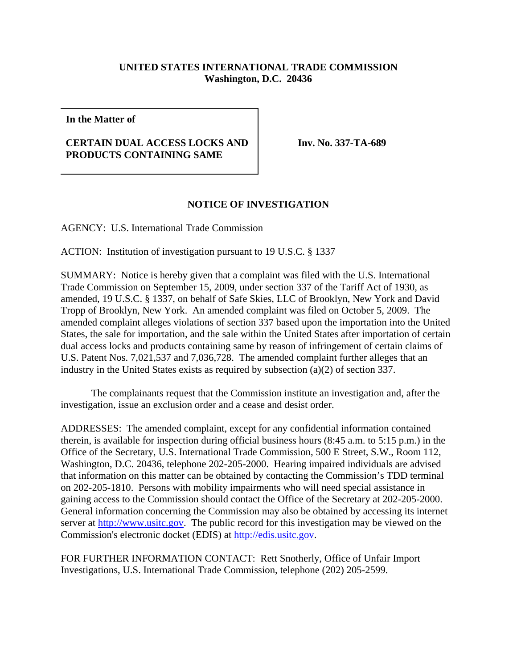## **UNITED STATES INTERNATIONAL TRADE COMMISSION Washington, D.C. 20436**

**In the Matter of**

## **CERTAIN DUAL ACCESS LOCKS AND PRODUCTS CONTAINING SAME**

**Inv. No. 337-TA-689**

## **NOTICE OF INVESTIGATION**

AGENCY: U.S. International Trade Commission

ACTION: Institution of investigation pursuant to 19 U.S.C. § 1337

SUMMARY: Notice is hereby given that a complaint was filed with the U.S. International Trade Commission on September 15, 2009, under section 337 of the Tariff Act of 1930, as amended, 19 U.S.C. § 1337, on behalf of Safe Skies, LLC of Brooklyn, New York and David Tropp of Brooklyn, New York. An amended complaint was filed on October 5, 2009. The amended complaint alleges violations of section 337 based upon the importation into the United States, the sale for importation, and the sale within the United States after importation of certain dual access locks and products containing same by reason of infringement of certain claims of U.S. Patent Nos. 7,021,537 and 7,036,728. The amended complaint further alleges that an industry in the United States exists as required by subsection (a)(2) of section 337.

The complainants request that the Commission institute an investigation and, after the investigation, issue an exclusion order and a cease and desist order.

ADDRESSES: The amended complaint, except for any confidential information contained therein, is available for inspection during official business hours (8:45 a.m. to 5:15 p.m.) in the Office of the Secretary, U.S. International Trade Commission, 500 E Street, S.W., Room 112, Washington, D.C. 20436, telephone 202-205-2000. Hearing impaired individuals are advised that information on this matter can be obtained by contacting the Commission's TDD terminal on 202-205-1810. Persons with mobility impairments who will need special assistance in gaining access to the Commission should contact the Office of the Secretary at 202-205-2000. General information concerning the Commission may also be obtained by accessing its internet server at http://www.usitc.gov. The public record for this investigation may be viewed on the Commission's electronic docket (EDIS) at http://edis.usitc.gov.

FOR FURTHER INFORMATION CONTACT: Rett Snotherly, Office of Unfair Import Investigations, U.S. International Trade Commission, telephone (202) 205-2599.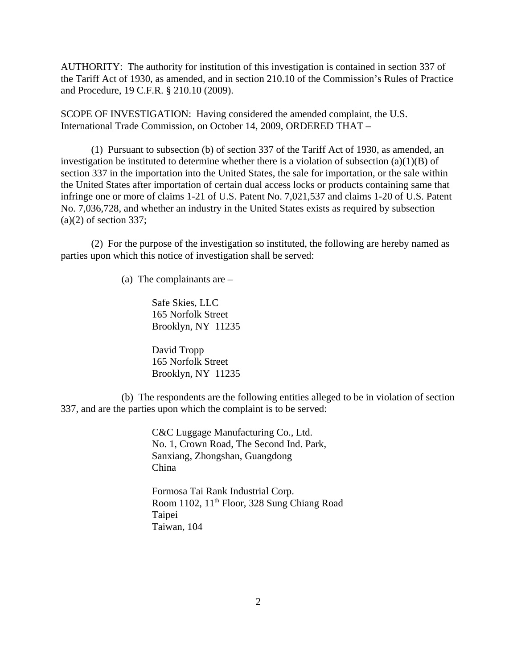AUTHORITY: The authority for institution of this investigation is contained in section 337 of the Tariff Act of 1930, as amended, and in section 210.10 of the Commission's Rules of Practice and Procedure, 19 C.F.R. § 210.10 (2009).

SCOPE OF INVESTIGATION: Having considered the amended complaint, the U.S. International Trade Commission, on October 14, 2009, ORDERED THAT –

(1) Pursuant to subsection (b) of section 337 of the Tariff Act of 1930, as amended, an investigation be instituted to determine whether there is a violation of subsection  $(a)(1)(B)$  of section 337 in the importation into the United States, the sale for importation, or the sale within the United States after importation of certain dual access locks or products containing same that infringe one or more of claims 1-21 of U.S. Patent No. 7,021,537 and claims 1-20 of U.S. Patent No. 7,036,728, and whether an industry in the United States exists as required by subsection  $(a)(2)$  of section 337;

(2) For the purpose of the investigation so instituted, the following are hereby named as parties upon which this notice of investigation shall be served:

(a) The complainants are –

Safe Skies, LLC 165 Norfolk Street Brooklyn, NY 11235

David Tropp 165 Norfolk Street Brooklyn, NY 11235

(b) The respondents are the following entities alleged to be in violation of section 337, and are the parties upon which the complaint is to be served:

> C&C Luggage Manufacturing Co., Ltd. No. 1, Crown Road, The Second Ind. Park, Sanxiang, Zhongshan, Guangdong China

Formosa Tai Rank Industrial Corp. Room 1102, 11<sup>th</sup> Floor, 328 Sung Chiang Road Taipei Taiwan, 104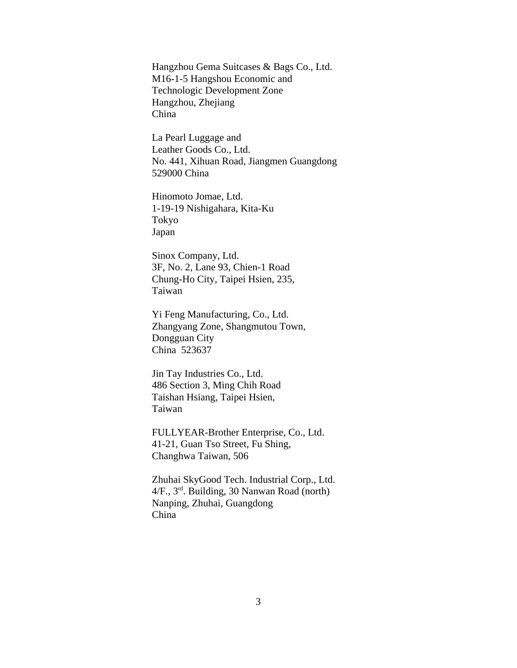Hangzhou Gema Suitcases & Bags Co., Ltd. M16-1-5 Hangshou Economic and Technologic Development Zone Hangzhou, Zhejiang China

La Pearl Luggage and Leather Goods Co., Ltd. No. 441, Xihuan Road, Jiangmen Guangdong 529000 China

Hinomoto Jomae, Ltd. 1-19-19 Nishigahara, Kita-Ku Tokyo Japan

Sinox Company, Ltd. 3F, No. 2, Lane 93, Chien-1 Road Chung-Ho City, Taipei Hsien, 235, Taiwan

Yi Feng Manufacturing, Co., Ltd. Zhangyang Zone, Shangmutou Town, Dongguan City China 523637

Jin Tay Industries Co., Ltd. 486 Section 3, Ming Chih Road Taishan Hsiang, Taipei Hsien, Taiwan

FULLYEAR-Brother Enterprise, Co., Ltd. 41-21, Guan Tso Street, Fu Shing, Changhwa Taiwan, 506

Zhuhai SkyGood Tech. Industrial Corp., Ltd. 4/F., 3rd. Building, 30 Nanwan Road (north) Nanping, Zhuhai, Guangdong China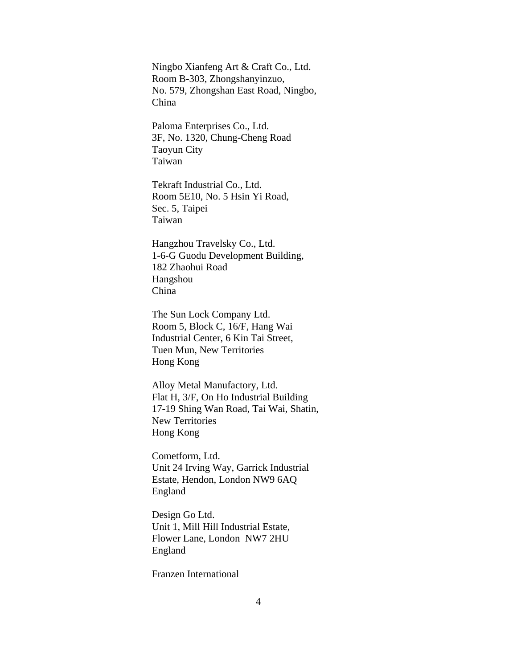Ningbo Xianfeng Art & Craft Co., Ltd. Room B-303, Zhongshanyinzuo, No. 579, Zhongshan East Road, Ningbo, China

Paloma Enterprises Co., Ltd. 3F, No. 1320, Chung-Cheng Road Taoyun City Taiwan

Tekraft Industrial Co., Ltd. Room 5E10, No. 5 Hsin Yi Road, Sec. 5, Taipei Taiwan

Hangzhou Travelsky Co., Ltd. 1-6-G Guodu Development Building, 182 Zhaohui Road Hangshou China

The Sun Lock Company Ltd. Room 5, Block C, 16/F, Hang Wai Industrial Center, 6 Kin Tai Street, Tuen Mun, New Territories Hong Kong

Alloy Metal Manufactory, Ltd. Flat H, 3/F, On Ho Industrial Building 17-19 Shing Wan Road, Tai Wai, Shatin, New Territories Hong Kong

Cometform, Ltd. Unit 24 Irving Way, Garrick Industrial Estate, Hendon, London NW9 6AQ England

Design Go Ltd. Unit 1, Mill Hill Industrial Estate, Flower Lane, London NW7 2HU England

Franzen International